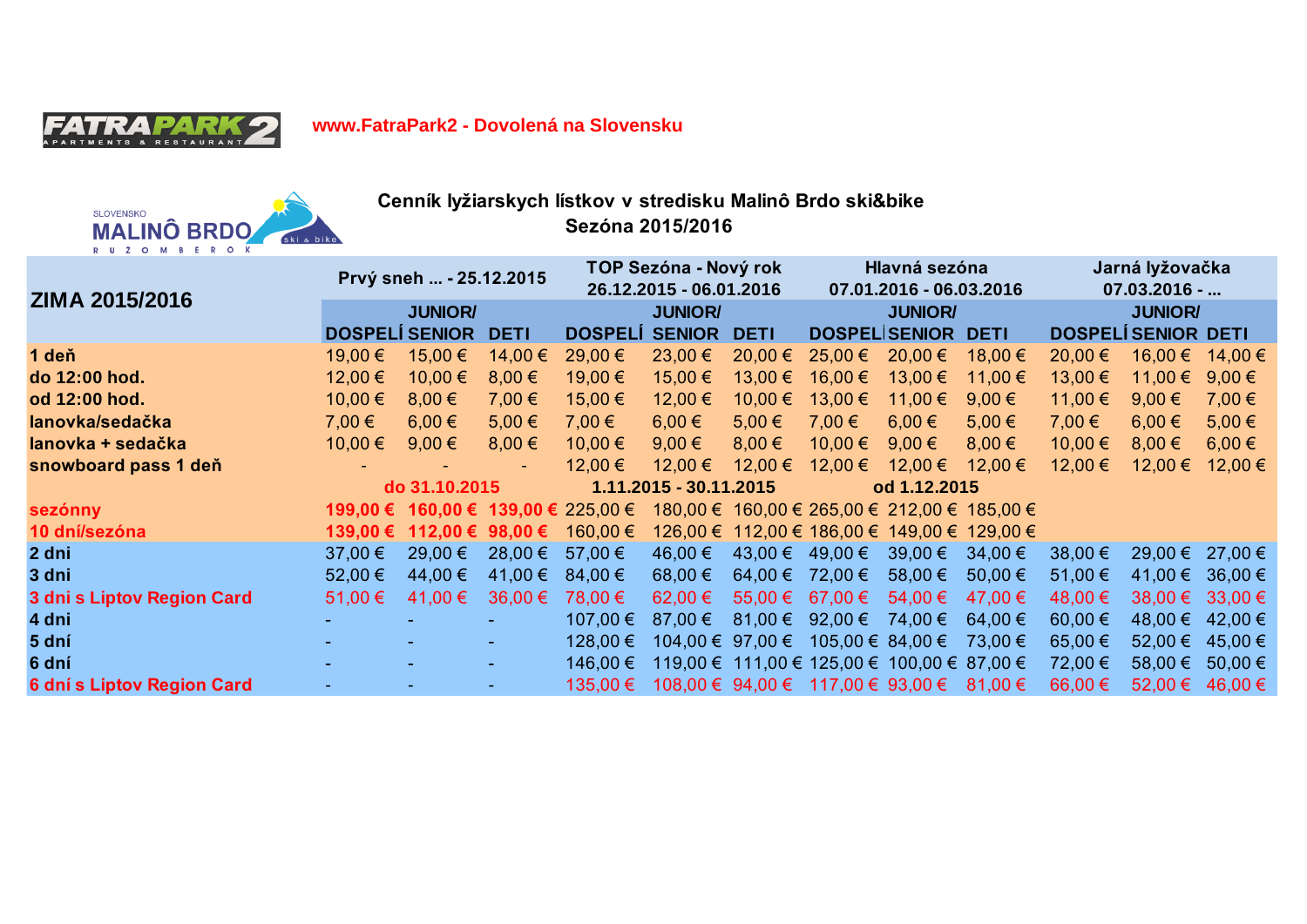

**www.FatraPark2 - Dovolená na Slovensku**



**Cenník lyžiarskych lístkov v stredisku Malinô Brdo ski&bike Sezóna 2015/2016** 

| ZIMA 2015/2016             | Prvý sneh  - 25.12.2015 |                           |             | TOP Sezóna - Nový rok<br>26.12.2015 - 06.01.2016 |                                             |             | Hlavná sezóna<br>07.01.2016 - 06.03.2016 |                                              |                                              | Jarná lyžovačka<br>$07.03.2016 - $ |                 |             |
|----------------------------|-------------------------|---------------------------|-------------|--------------------------------------------------|---------------------------------------------|-------------|------------------------------------------|----------------------------------------------|----------------------------------------------|------------------------------------|-----------------|-------------|
|                            | <b>JUNIOR/</b>          |                           |             | <b>JUNIOR/</b>                                   |                                             |             | <b>JUNIOR/</b>                           |                                              |                                              | <b>JUNIOR/</b>                     |                 |             |
|                            | <b>DOSPELÍ SENIOR</b>   |                           | <b>DETI</b> | <b>DOSPELI</b>                                   | <b>SENIOR</b>                               | <b>DETI</b> |                                          | <b>DOSPELISENIOR</b>                         | <b>DETI</b>                                  | <b>DOSPELÍ SENIOR DETI</b>         |                 |             |
| 1 deň                      | 19,00 €                 | 15,00 €                   | 14,00 €     | 29,00 €                                          | $23,00 \in$                                 | $20,00 \in$ | $25,00 \in$                              | $20,00 \in$                                  | 18,00 €                                      | 20,00 €                            | 16,00 €         | 14,00 €     |
| do 12:00 hod.              | 12,00 €                 | 10,00 €                   | 8,00€       | 19,00 €                                          | 15,00 €                                     | 13,00 €     | 16,00 €                                  | 13,00 €                                      | 11,00 €                                      | 13,00 €                            | 11,00 €         | 9,00 $\xi$  |
| od 12:00 hod.              | 10,00 €                 | 8,00€                     | 7,00 €      | 15,00 €                                          | 12,00 €                                     | 10,00 €     | 13,00 €                                  | 11,00 €                                      | 9,00 $\epsilon$                              | 11,00 €                            | 9,00 $\epsilon$ | 7,00 €      |
| lanovka/sedačka            | 7,00 €                  | $6.00 \in$                | $5,00 \in$  | 7,00 €                                           | $6,00 \in$                                  | $5,00 \in$  | 7,00 €                                   | $6,00 \in$                                   | $5,00 \in$                                   | 7,00 €                             | $6.00 \in$      | 5,00€       |
| lanovka + sedačka          | $10,00 \in$             | 9,00 $\epsilon$           | 8,00€       | 10,00 €                                          | $9,00 \in$                                  | $8.00 \in$  | $10,00 \in$                              | 9,00€                                        | $8.00 \in$                                   | 10,00 €                            | $8.00 \in$      | $6,00 \in$  |
| snowboard pass 1 deň       |                         |                           |             | 12,00 €                                          | 12,00 €                                     | $12,00 \in$ | $12,00 \in$                              | 12,00 €                                      | 12,00 €                                      | 12,00 €                            | 12,00 €         | $12,00 \in$ |
|                            | do 31.10.2015           |                           |             | 1.11.2015 - 30.11.2015                           |                                             |             | od 1.12.2015                             |                                              |                                              |                                    |                 |             |
| sezónny                    |                         |                           |             | 199,00 € 160,00 € 139,00 € 225,00 €              |                                             |             |                                          |                                              | 180,00 € 160,00 € 265,00 € 212,00 € 185,00 € |                                    |                 |             |
| 10 dní/sezóna              |                         | 139,00 € 112,00 € 98,00 € |             | 160,00 €                                         |                                             |             |                                          | 126,00 € 112,00 € 186,00 € 149,00 € 129,00 € |                                              |                                    |                 |             |
| 2 dni                      | 37,00 €                 | 29,00 €                   | $28,00 \in$ | 57,00 €                                          | 46,00 €                                     | $43,00 \in$ | $49,00 \in$                              | $39,00 \in$                                  | $34,00 \in$                                  | 38,00 €                            | $29,00 \in$     | $27,00 \in$ |
| 3 dni                      | 52,00 €                 | 44,00 €                   | 41,00 €     | $84,00 \in$                                      | 68,00 €                                     | 64,00 €     | 72,00 €                                  | 58,00 €                                      | 50,00 €                                      | 51,00 €                            | 41,00 €         | 36,00 €     |
| 3 dni s Liptov Region Card | 51,00 €                 | 41,00 €                   | $36,00 \in$ | 78,00 €                                          | 62,00 €                                     | 55,00 €     | 67,00 €                                  | 54,00 €                                      | 47.00 €                                      | 48,00 €                            | $38,00 \in$     | $33,00 \in$ |
| 4 dni                      |                         |                           |             | 107,00 €                                         | 87,00 $\epsilon$                            | $81,00 \in$ | 92,00 $\epsilon$                         | 74,00 €                                      | 64,00 €                                      | 60,00 €                            | 48,00 €         | $42,00 \in$ |
| 5 dní                      |                         |                           |             | 128,00 €                                         | $104,00 \in 97,00 \in 105,00 \in 84,00 \in$ |             |                                          |                                              | 73,00 €                                      | 65,00 €                            | 52,00 €         | $45,00 \in$ |
| 6 dní                      |                         |                           |             | 146,00 €                                         | 119,00 € 111,00 € 125,00 € 100,00 € 87,00 € |             |                                          |                                              |                                              | 72,00 €                            | 58,00 €         | 50,00 €     |
| 6 dní s Liptov Region Card |                         |                           |             | 135,00 €                                         | 108,00 € 94,00 € 117,00 € 93,00 €           |             |                                          |                                              | $81,00 \in$                                  | 66,00 €                            | 52,00 €         | $46,00 \in$ |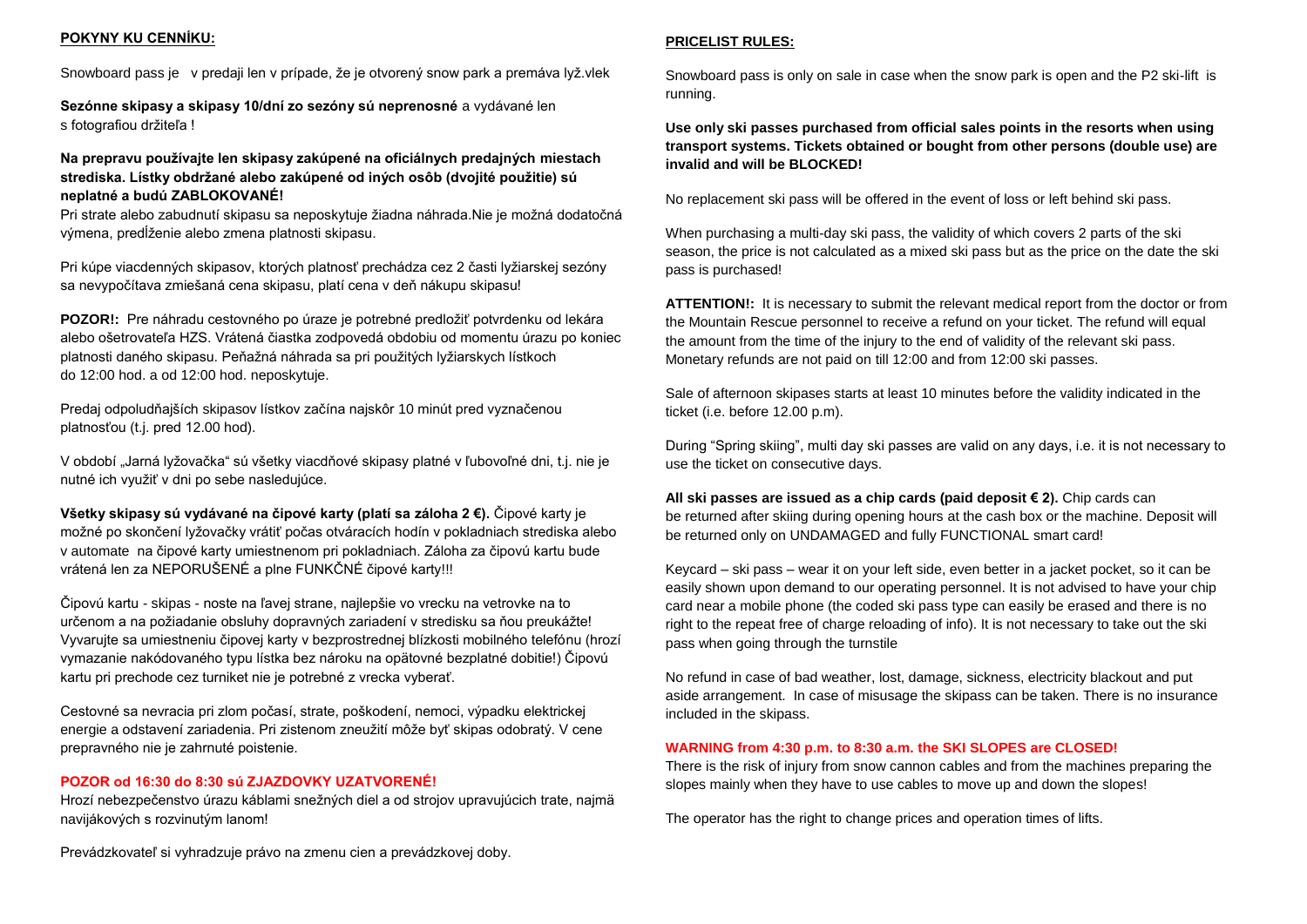### **POKYNY KU CENNÍKU:**

Snowboard pass je v predaji len v prípade, že je otvorený snow park a premáva lyž.vlek

**Sezónne skipasy a skipasy 10/dní zo sezóny sú neprenosné** a vydávané len s fotografiou držiteľa !

**Na prepravu používajte len skipasy zakúpené na oficiálnych predajných miestach strediska. Lístky obdržané alebo zakúpené od iných osôb (dvojité použitie) sú neplatné a budú ZABLOKOVANÉ!**

Pri strate alebo zabudnutí skipasu sa neposkytuje žiadna náhrada.Nie je možná dodatočná výmena, predĺženie alebo zmena platnosti skipasu.

Pri kúpe viacdenných skipasov, ktorých platnosť prechádza cez 2 časti lyžiarskej sezóny sa nevypočítava zmiešaná cena skipasu, platí cena v deň nákupu skipasu!

**POZOR!:** Pre náhradu cestovného po úraze je potrebné predložiť potvrdenku od lekára alebo ošetrovateľa HZS. Vrátená čiastka zodpovedá obdobiu od momentu úrazu po koniec platnosti daného skipasu. Peňažná náhrada sa pri použitých lyžiarskych lístkoch do 12:00 hod. a od 12:00 hod. neposkytuje.

Predaj odpoludňajších skipasov lístkov začína najskôr 10 minút pred vyznačenou platnosťou (t.j. pred 12.00 hod).

V období "Jarná lyžovačka" sú všetky viacdňové skipasy platné v ľubovoľné dni, t.j. nie je nutné ich využiť v dni po sebe nasledujúce.

**Všetky skipasy sú vydávané na čipové karty (platí sa záloha 2 €).** Čipové karty je možné po skončení lyžovačky vrátiť počas otváracích hodín v pokladniach strediska alebo v automate na čipové karty umiestnenom pri pokladniach. Záloha za čipovú kartu bude vrátená len za NEPORUŠENÉ a plne FUNKČNÉ čipové karty!!!

Čipovú kartu - skipas - noste na ľavej strane, najlepšie vo vrecku na vetrovke na to určenom a na požiadanie obsluhy dopravných zariadení v stredisku sa ňou preukážte! Vyvarujte sa umiestneniu čipovej karty v bezprostrednej blízkosti mobilného telefónu (hrozí vymazanie nakódovaného typu lístka bez nároku na opätovné bezplatné dobitie!) Čipovú kartu pri prechode cez turniket nie je potrebné z vrecka vyberať.

Cestovné sa nevracia pri zlom počasí, strate, poškodení, nemoci, výpadku elektrickej energie a odstavení zariadenia. Pri zistenom zneužití môže byť skipas odobratý. V cene prepravného nie je zahrnuté poistenie.

#### **POZOR od 16:30 do 8:30 sú ZJAZDOVKY UZATVORENÉ!**

Hrozí nebezpečenstvo úrazu káblami snežných diel a od strojov upravujúcich trate, najmä navijákových s rozvinutým lanom!

### **PRICELIST RULES:**

Snowboard pass is only on sale in case when the snow park is open and the P2 ski-lift is running.

**Use only ski passes purchased from official sales points in the resorts when using transport systems. Tickets obtained or bought from other persons (double use) are invalid and will be BLOCKED!**

No replacement ski pass will be offered in the event of loss or left behind ski pass.

When purchasing a multi-day ski pass, the validity of which covers 2 parts of the ski season, the price is not calculated as a mixed ski pass but as the price on the date the ski pass is purchased!

**ATTENTION!:** It is necessary to submit the relevant medical report from the doctor or from the Mountain Rescue personnel to receive a refund on your ticket. The refund will equal the amount from the time of the injury to the end of validity of the relevant ski pass. Monetary refunds are not paid on till 12:00 and from 12:00 ski passes.

Sale of afternoon skipases starts at least 10 minutes before the validity indicated in the ticket (i.e. before 12.00 p.m).

During "Spring skiing", multi day ski passes are valid on any days, i.e. it is not necessary to use the ticket on consecutive days.

**All ski passes are issued as a chip cards (paid deposit € 2).** Chip cards can be returned after skiing during opening hours at the cash box or the machine. Deposit will be returned only on UNDAMAGED and fully FUNCTIONAL smart card!

Keycard – ski pass – wear it on your left side, even better in a jacket pocket, so it can be easily shown upon demand to our operating personnel. It is not advised to have your chip card near a mobile phone (the coded ski pass type can easily be erased and there is no right to the repeat free of charge reloading of info). It is not necessary to take out the ski pass when going through the turnstile

No refund in case of bad weather, lost, damage, sickness, electricity blackout and put aside arrangement. In case of misusage the skipass can be taken. There is no insurance included in the skipass.

#### **WARNING from 4:30 p.m. to 8:30 a.m. the SKI SLOPES are CLOSED!**

There is the risk of injury from snow cannon cables and from the machines preparing the slopes mainly when they have to use cables to move up and down the slopes!

The operator has the right to change prices and operation times of lifts.

Prevádzkovateľ si vyhradzuje právo na zmenu cien a prevádzkovej doby.